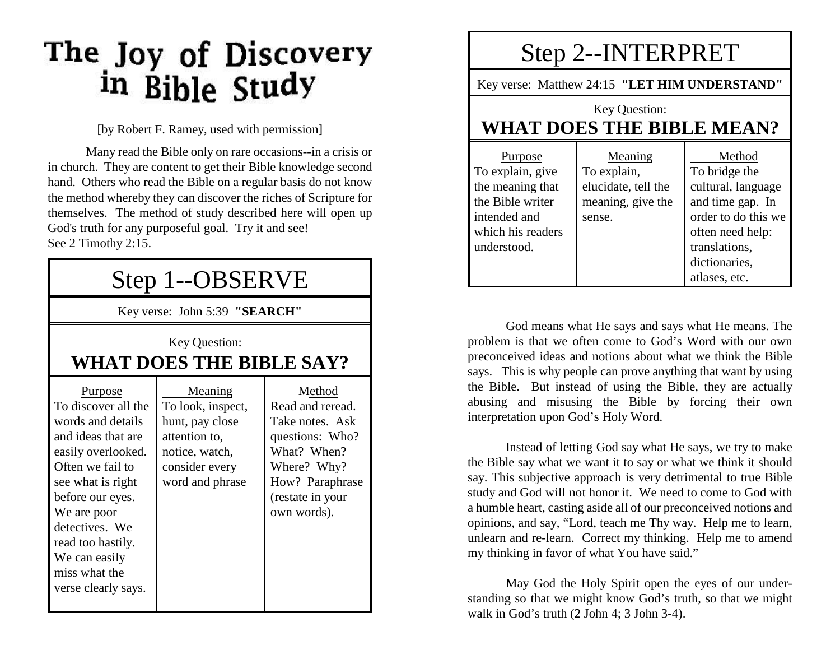# The Joy of Discovery<br>in Bible Study

[by Robert F. Ramey, used with permission]

Many read the Bible only on rare occasions--in a crisis or in church. They are content to get their Bible knowledge second hand. Others who read the Bible on a regular basis do not know the method whereby they can discover the riches of Scripture for themselves. The method of study described here will open up God's truth for any purposeful goal. Try it and see! See 2 Timothy 2:15.

### Step 1--OBSERVE

Key verse: John 5:39 **"SEARCH"**

Key Question:

#### **WHAT DOES THE BIBLE SAY?**

| Meaning                                                                                 | Method                                                                                                                 |
|-----------------------------------------------------------------------------------------|------------------------------------------------------------------------------------------------------------------------|
| To look, inspect,                                                                       | Read and reread.                                                                                                       |
| hunt, pay close<br>attention to,<br>notice, watch,<br>consider every<br>word and phrase | Take notes. Ask<br>questions: Who?<br>What? When?<br>Where? Why?<br>How? Paraphrase<br>(restate in your<br>own words). |
|                                                                                         |                                                                                                                        |
|                                                                                         |                                                                                                                        |

## Step 2--INTERPRET

Key verse: Matthew 24:15 **"LET HIM UNDERSTAND"**

#### Key Question: **WHAT DOES THE BIBLE MEAN?**

| Purpose           | Meaning             | Method              |
|-------------------|---------------------|---------------------|
| To explain, give  | To explain,         | To bridge the       |
| the meaning that  | elucidate, tell the | cultural, language  |
| the Bible writer  | meaning, give the   | and time gap. In    |
| intended and      | sense.              | order to do this we |
| which his readers |                     | often need help:    |
| understood.       |                     | translations,       |
|                   |                     | dictionaries,       |
|                   |                     | atlases, etc.       |

God means what He says and says what He means. The problem is that we often come to God's Word with our own preconceived ideas and notions about what we think the Bible says. This is why people can prove anything that want by using the Bible. But instead of using the Bible, they are actually abusing and misusing the Bible by forcing their own interpretation upon God's Holy Word.

Instead of letting God say what He says, we try to make the Bible say what we want it to say or what we think it should say. This subjective approach is very detrimental to true Bible study and God will not honor it. We need to come to God with a humble heart, casting aside all of our preconceived notions and opinions, and say, "Lord, teach me Thy way. Help me to learn, unlearn and re-learn. Correct my thinking. Help me to amend my thinking in favor of what You have said."

May God the Holy Spirit open the eyes of our understanding so that we might know God's truth, so that we might walk in God's truth (2 John 4; 3 John 3-4).